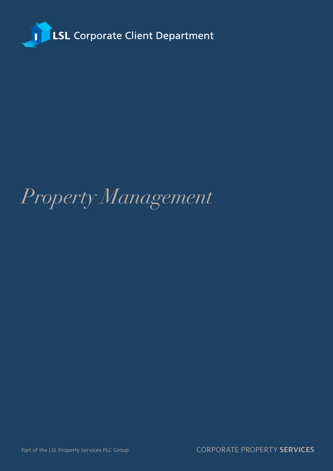

# *Property Management*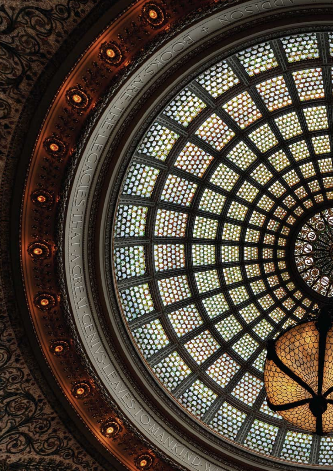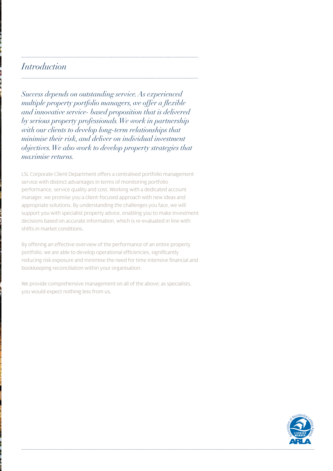# *Introduction*

*Success depends on outstanding service. As experienced multiple property portfolio managers, we offer a flexible and innovative service- based proposition that is delivered by serious property professionals. We work in partnership with our clients to develop long-term relationships that minimise their risk, and deliver on individual investment objectives. We also work to develop property strategies that maximise returns.*

LSL Corporate Client Department offers a centralised portfolio management service with distinct advantages in terms of monitoring portfolio performance, service quality and cost. Working with a dedicated account manager, we promise you a client-focused approach with new ideas and appropriate solutions. By understanding the challenges you face, we will support you with specialist property advice, enabling you to make investment decisions based on accurate information, which is re-evaluated in line with shifts in market conditions.

By offering an effective overview of the performance of an entire property portfolio, we are able to develop operational efficiencies, significantly reducing risk exposure and minimise the need for time intensive financial and bookkeeping reconciliation within your organisation.

We provide comprehensive management on all of the above; as specialists, you would expect nothing less from us.

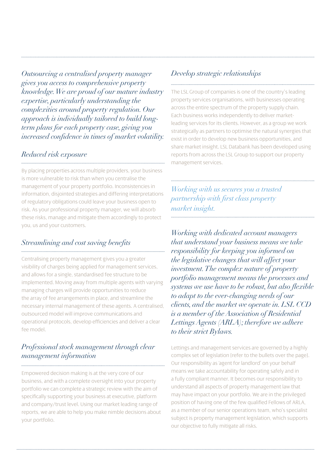*Outsourcing a centralised property manager gives you access to comprehensive property knowledge. We are proud of our mature industry expertise, particularly understanding the complexities around property regulation. Our approach is individually tailored to build longterm plans for each property case, giving you increased confidence in times of market volatility.* 

### *Reduced risk exposure*

By placing properties across multiple providers, your business is more vulnerable to risk than when you centralise the management of your property portfolio. Inconsistencies in information, disjointed strategies and differing interpretations of regulatory obligations could leave your business open to risk. As your professional property manager, we will absorb these risks, manage and mitigate them accordingly to protect you, us and your customers.

### *Streamlining and cost saving benefits*

Centralising property management gives you a greater visibility of charges being applied for management services, and allows for a single, standardised fee structure to be implemented. Moving away from multiple agents with varying managing charges will provide opportunities to reduce the array of fee arrangements in place, and streamline the necessary internal management of these agents. A centralised, outsourced model will improve communications and operational protocols, develop efficiencies and deliver a clear fee model.

#### *Professional stock management through clear management information*

Empowered decision making is at the very core of our business, and with a complete oversight into your property portfolio we can complete a strategic review with the aim of specifically supporting your business at executive, platform and company/trust level. Using our market leading range of reports, we are able to help you make nimble decisions about your portfolio.

#### *Develop strategic relationships*

The LSL Group of companies is one of the country's leading property services organisations, with businesses operating across the entire spectrum of the property supply chain. Each business works independently to deliver marketleading services for its clients. However, as a group we work strategically as partners to optimise the natural synergies that exist in order to develop new business opportunities, and share market insight. LSL Databank has been developed using reports from across the LSL Group to support our property management services.

*Working with us secures you a trusted partnership with first class property market insight.*

*Working with dedicated account managers that understand your business means we take responsibility for keeping you informed on the legislative changes that will affect your investment. The complex nature of property portfolio management means the processes and systems we use have to be robust, but also flexible to adapt to the ever-changing needs of our clients, and the market we operate in. LSL CCD is a member of the Association of Residential Lettings Agents (ARLA); therefore we adhere to their strict Bylaws.*

Lettings and management services are governed by a highly complex set of legislation [refer to the bullets over the page]. Our responsibility as 'agent for landlord' on your behalf means we take accountability for operating safely and in a fully compliant manner. It becomes our responsibility to understand all aspects of property management law that may have impact on your portfolio. We are in the privileged position of having one of the few qualified Fellows of ARLA, as a member of our senior operations team, who's specialist subject is property management legislation, which supports our objective to fully mitigate all risks.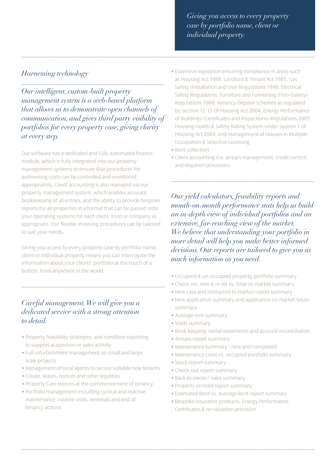*Giving you access to every property case by portfolio name, client or individual property.*

#### *Harnessing technology*

*Our intelligent, custom-built property management system is a web-based platform that allows us to demonstrate open channels of communication, and gives third party visibility of portfolios for every property case, giving clarity at every step.* 

Our software has a dedicated and fully automated finance module, which is fully integrated into our property management systems to ensure that procedures for authorising costs can be controlled and monitored appropriately. Client accounting is also managed via our property management system, which enables accurate bookkeeping of all entries, and the ability to provide bespoke reports for all properties in a format that can be passed onto your operating systems for each client, trust or company as appropriate. Our flexible invoicing procedures can be tailored to suit your needs.

Giving you access to every property case by portfolio name, client or individual property means you can interrogate the information about your clients' portfolio at the touch of a button, from anywhere in the world.

#### *Careful management. We will give you a dedicated service with a strong attention to detail.*

- Property feasibility strategies, and condition reporting to support acquisition or sales activity
- Full refurbishment management on small and large scale projects
- Management of local agents to secure suitable new tenants
- Create, leases, notices and other legalities
- Property Care reports at the commencement of tenancy
- Portfolio management including cyclical and reactive maintenance, routine visits, renewals and end of tenancy actions
- Extensive legislation ensuring compliance in areas such as Housing Act 1988, Landlord & Tenant Act 1985, Gas Safety (Installation and Use) Regulations 1998, Electrical Safety Regulations, Furniture and Furnishing (Fire) (Safety) Regulations 1988, Tenancy Deposit Schemes as regulated by Section 12-15 Of Housing Act 2004, Energy Performance of Buildings (Certificates and Inspections) Regulations 2007, Housing Health & Safety Rating System under Section 1 of Housing Act 2004, and management of Houses in Multiple Occupation & Selective Licensing
- Rent collection
- Client accounting (i.e. arrears management, credit control, and litigation processes)

*Our yield calculators, feasibility reports and month-on-month performance stats help us build an in-depth view of individual portfolios and an extensive, far-reaching view of the market. We believe that understanding your portfolio in more detail will help you make better informed decisions. Our reports are tailored to give you as much information as you need.*

- Occupied & un-occupied property portfolio summary
- Check-ins, new & re-let vs. total on market summary
- New case and instructed to market report summary
- New application summary and application on market totals summary
- Average rent summary
- Voids summary
- Book keeping, rental statements and account reconciliation
- Arrears report summary
- Maintenance summary new and completed
- Maintenance costs vs. occupied portfolio summary
- Stock report summary
- Check-out report summary
- Back to owner/ sales summary
- Property on hold report summary
- Estimated Rent vs. Average Rent report summary
- Bespoke insurance products, Energy Performance Certificates & re-valuation provision